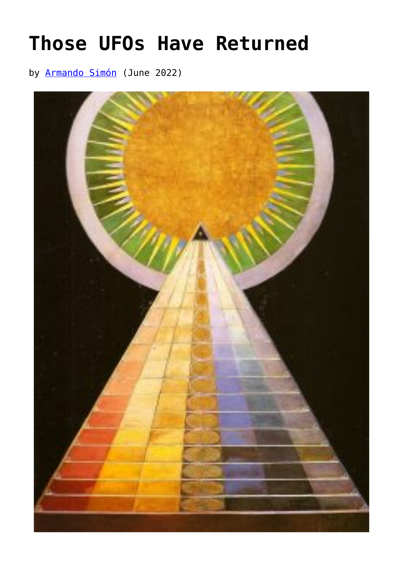## **[Those UFOs Have Returned](https://www.newenglishreview.org/articles/those-ufos-have-returned/)**

by [Armando Simón](https://www.newenglishreview.org/authors/armando-simon/) (June 2022)

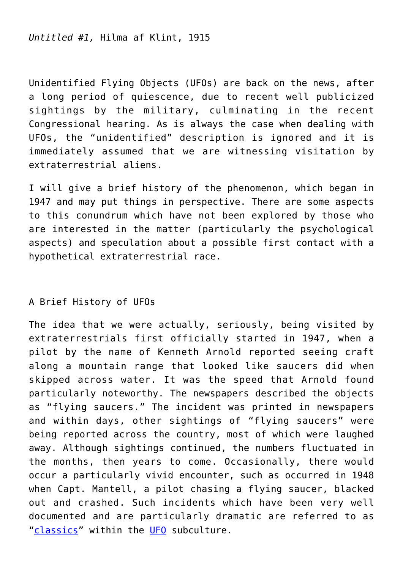*Untitled #1,* Hilma af Klint, 1915

Unidentified Flying Objects (UFOs) are back on the news, after a long period of quiescence, due to recent well publicized sightings by the military, culminating in the recent Congressional hearing. As is always the case when dealing with UFOs, the "unidentified" description is ignored and it is immediately assumed that we are witnessing visitation by extraterrestrial aliens.

I will give a brief history of the phenomenon, which began in 1947 and may put things in perspective. There are some aspects to this conundrum which have not been explored by those who are interested in the matter (particularly the psychological aspects) and speculation about a possible first contact with a hypothetical extraterrestrial race.

## A Brief History of UFOs

The idea that we were actually, seriously, being visited by extraterrestrials first officially started in 1947, when a pilot by the name of Kenneth Arnold reported seeing craft along a mountain range that looked like saucers did when skipped across water. It was the speed that Arnold found particularly noteworthy. The newspapers described the objects as "flying saucers." The incident was printed in newspapers and within days, other sightings of "flying saucers" were being reported across the country, most of which were laughed away. Although sightings continued, the numbers fluctuated in the months, then years to come. Occasionally, there would occur a particularly vivid encounter, such as occurred in 1948 when Capt. Mantell, a pilot chasing a flying saucer, blacked out and crashed. Such incidents which have been very well documented and are particularly dramatic are referred to as "[classics"](https://www.amazon.com/World-Flying-Saucers-Scientific-Examination-ebook/dp/B09QMBYFB5/ref=sr_1_3?crid=2M2K6S7MJFJF&keywords=the+world+of+flying+saucers&qid=1652838420&sprefix=the+world+of+flying+saucers%2Caps%2C106&sr=8-3) within the [UFO](https://www.amazon.com/Ufo-Controversy-America-David-Jacobs/dp/0253190061/ref=sr_1_1?crid=2G283KNA6934I&keywords=The+UFO+Controversy+in+America&qid=1652838493&sprefix=the+ufo+controversy+in+america%2Caps%2C91&sr=8-1) subculture.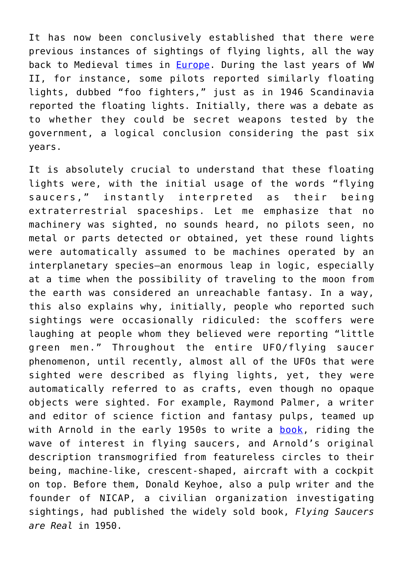It has now been conclusively established that there were previous instances of sightings of flying lights, all the way back to Medieval times in [Europe](https://www.amazon.com/s?k=flying+saucers+and+jung&crid=2984XJGSWV2OZ&sprefix=flying+saucers+and+jung%2Caps%2C105&ref=nb_sb_noss_2). During the last years of WW II, for instance, some pilots reported similarly floating lights, dubbed "foo fighters," just as in 1946 Scandinavia reported the floating lights. Initially, there was a debate as to whether they could be secret weapons tested by the government, a logical conclusion considering the past six years.

It is absolutely crucial to understand that these floating lights were, with the initial usage of the words "flying saucers," instantly interpreted as their being extraterrestrial spaceships. Let me emphasize that no machinery was sighted, no sounds heard, no pilots seen, no metal or parts detected or obtained, yet these round lights were automatically assumed to be machines operated by an interplanetary species—an enormous leap in logic, especially at a time when the possibility of traveling to the moon from the earth was considered an unreachable fantasy. In a way, this also explains why, initially, people who reported such sightings were occasionally ridiculed: the scoffers were laughing at people whom they believed were reporting "little green men." Throughout the entire UFO/flying saucer phenomenon, until recently, almost all of the UFOs that were sighted were described as flying lights, yet, they were automatically referred to as crafts, even though no opaque objects were sighted. For example, Raymond Palmer, a writer and editor of science fiction and fantasy pulps, teamed up with Arnold in the early 1950s to write a **book**, riding the wave of interest in flying saucers, and Arnold's original description transmogrified from featureless circles to their being, machine-like, crescent-shaped, aircraft with a cockpit on top. Before them, Donald Keyhoe, also a pulp writer and the founder of NICAP, a civilian organization investigating sightings, had published the widely sold book, *Flying Saucers are Real* in 1950.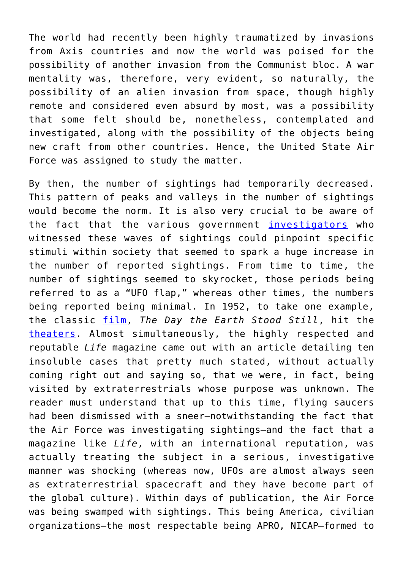The world had recently been highly traumatized by invasions from Axis countries and now the world was poised for the possibility of another invasion from the Communist bloc. A war mentality was, therefore, very evident, so naturally, the possibility of an alien invasion from space, though highly remote and considered even absurd by most, was a possibility that some felt should be, nonetheless, contemplated and investigated, along with the possibility of the objects being new craft from other countries. Hence, the United State Air Force was assigned to study the matter.

By then, the number of sightings had temporarily decreased. This pattern of peaks and valleys in the number of sightings would become the norm. It is also very crucial to be aware of the fact that the various government [investigators](https://www.amazon.com/Report-Unidentified-Flying-Objects-ebook/dp/B086XDMFWX/ref=sr_1_2?crid=FGSWOZW8KFPQ&keywords=unidentified+flying+objects+by+ruppelt&qid=1652838973&sprefix=unidentified+flying+objects+by+ruppelt%2Caps%2C103&sr=8-2) who witnessed these waves of sightings could pinpoint specific stimuli within society that seemed to spark a huge increase in the number of reported sightings. From time to time, the number of sightings seemed to skyrocket, those periods being referred to as a "UFO flap," whereas other times, the numbers being reported being minimal. In 1952, to take one example, the classic [film](https://www.amazon.com/Pictorial-History-Science-Fiction-Films/dp/B0013VF0KA/ref=sr_1_1?crid=XRTQO9P8G22W&keywords=Rovin%2C+Jeff.+Science+Fiction+Films&qid=1652839048&sprefix=rovin%2C+jeff.+science+fiction+films%2Caps%2C102&sr=8-1), *The Day the Earth Stood Still*, hit the [theaters](https://www.amazon.com/Science-Fiction-Gold-Film-Classics/dp/0070544670). Almost simultaneously, the highly respected and reputable *Life* magazine came out with an article detailing ten insoluble cases that pretty much stated, without actually coming right out and saying so, that we were, in fact, being visited by extraterrestrials whose purpose was unknown. The reader must understand that up to this time, flying saucers had been dismissed with a sneer—notwithstanding the fact that the Air Force was investigating sightings—and the fact that a magazine like *Life*, with an international reputation, was actually treating the subject in a serious, investigative manner was shocking (whereas now, UFOs are almost always seen as extraterrestrial spacecraft and they have become part of the global culture). Within days of publication, the Air Force was being swamped with sightings. This being America, civilian organizations—the most respectable being APRO, NICAP—formed to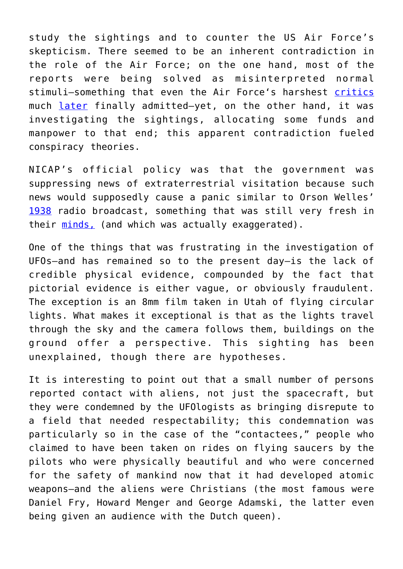study the sightings and to counter the US Air Force's skepticism. There seemed to be an inherent contradiction in the role of the Air Force; on the one hand, most of the reports were being solved as misinterpreted normal stimuli—something that even the Air Force's harshest [critics](https://ia600100.us.archive.org/29/items/1965JacquesValleeAnatomyOfAPhenomenonnotOCR/%281965%29%20Jacques%20Vallee%20-%20Anatomy%20of%20a%20Phenomenon%20%28not%20OCR%29.pdf) much [later](https://www.amazon.com/Challenge-Science-Jacques-Janine-VALLEE/dp/B001OMOLB2/ref=sr_1_1?crid=309NZIFVWE1X3&keywords=jacques+vallee+Challenge+to+Science%3A+The+UFO+Enigma&qid=1652839475&s=books&sprefix=jacques+vallee+challenge+to+science+the+ufo+enigma%2Cstripbooks%2C106&sr=1-1) finally admitted—yet, on the other hand, it was investigating the sightings, allocating some funds and manpower to that end; this apparent contradiction fueled conspiracy theories.

NICAP's official policy was that the government was suppressing news of extraterrestrial visitation because such news would supposedly cause a panic similar to Orson Welles' [1938](https://www.amazon.com/Invasion-Mars-Study-Psychology-Panic/dp/1138536385/ref=sr_1_1?crid=3JTVGVOFKHVOG&keywords=Cantril%2C+Hadley.+The+Invasion+from+Mars&qid=1652839613&s=books&sprefix=cantril%2C+hadley.+the+invasion+from+mars%2Cstripbooks%2C90&sr=1-1) radio broadcast, something that was still very fresh in their [minds,](https://www.amazon.com/Panic-Broadcast-Welles-Legendary-Invasion/dp/0380005018/ref=sr_1_1?crid=1E16T5OD0ATTE&keywords=Koch%2C+Howard.+The+Panic+Broadcast&qid=1652839674&s=books&sprefix=koch%2C+howard.+the+panic+broadcast%2Cstripbooks%2C81&sr=1-1) (and which was actually exaggerated).

One of the things that was frustrating in the investigation of UFOs—and has remained so to the present day—is the lack of credible physical evidence, compounded by the fact that pictorial evidence is either vague, or obviously fraudulent. The exception is an 8mm film taken in Utah of flying circular lights. What makes it exceptional is that as the lights travel through the sky and the camera follows them, buildings on the ground offer a perspective. This sighting has been unexplained, though there are hypotheses.

It is interesting to point out that a small number of persons reported contact with aliens, not just the spacecraft, but they were condemned by the UFOlogists as bringing disrepute to a field that needed respectability; this condemnation was particularly so in the case of the "contactees," people who claimed to have been taken on rides on flying saucers by the pilots who were physically beautiful and who were concerned for the safety of mankind now that it had developed atomic weapons—and the aliens were Christians (the most famous were Daniel Fry, Howard Menger and George Adamski, the latter even being given an audience with the Dutch queen).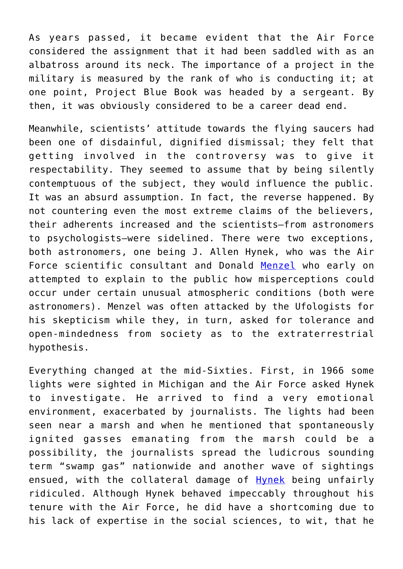As years passed, it became evident that the Air Force considered the assignment that it had been saddled with as an albatross around its neck. The importance of a project in the military is measured by the rank of who is conducting it; at one point, Project Blue Book was headed by a sergeant. By then, it was obviously considered to be a career dead end.

Meanwhile, scientists' attitude towards the flying saucers had been one of disdainful, dignified dismissal; they felt that getting involved in the controversy was to give it respectability. They seemed to assume that by being silently contemptuous of the subject, they would influence the public. It was an absurd assumption. In fact, the reverse happened. By not countering even the most extreme claims of the believers, their adherents increased and the scientists—from astronomers to psychologists—were sidelined. There were two exceptions, both astronomers, one being J. Allen Hynek, who was the Air Force scientific consultant and Donald [Menzel](https://www.amazon.com/Flying-Saucers-Donald-H-Menzel/dp/0674427661/ref=sr_1_2?crid=37P39E5P023PA&keywords=flying+saucers+by+menzel&qid=1652839864&s=books&sprefix=flying+saucers+by+menzel%2Cstripbooks%2C100&sr=1-2) who early on attempted to explain to the public how misperceptions could occur under certain unusual atmospheric conditions (both were astronomers). Menzel was often attacked by the Ufologists for his skepticism while they, in turn, asked for tolerance and open-mindedness from society as to the extraterrestrial hypothesis.

Everything changed at the mid-Sixties. First, in 1966 some lights were sighted in Michigan and the Air Force asked Hynek to investigate. He arrived to find a very emotional environment, exacerbated by journalists. The lights had been seen near a marsh and when he mentioned that spontaneously ignited gasses emanating from the marsh could be a possibility, the journalists spread the ludicrous sounding term "swamp gas" nationwide and another wave of sightings ensued, with the collateral damage of [Hynek](https://www.amazon.com/UFO-Experience-Scientific-Inquiry-Collectors/dp/0809480549/ref=sr_1_3?crid=3R7EDZGMNDKUE&keywords=Hynek%2C+J.+Allen.+The+UFO+Experience&qid=1652839991&s=books&sprefix=hynek%2C+j.+allen.+the+ufo+experience%2Cstripbooks%2C85&sr=1-3) being unfairly ridiculed. Although Hynek behaved impeccably throughout his tenure with the Air Force, he did have a shortcoming due to his lack of expertise in the social sciences, to wit, that he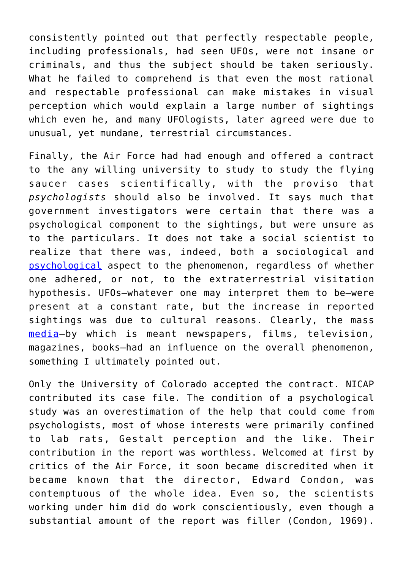consistently pointed out that perfectly respectable people, including professionals, had seen UFOs, were not insane or criminals, and thus the subject should be taken seriously. What he failed to comprehend is that even the most rational and respectable professional can make mistakes in visual perception which would explain a large number of sightings which even he, and many UFOlogists, later agreed were due to unusual, yet mundane, terrestrial circumstances.

Finally, the Air Force had had enough and offered a contract to the any willing university to study to study the flying saucer cases scientifically, with the proviso that *psychologists* should also be involved. It says much that government investigators were certain that there was a psychological component to the sightings, but were unsure as to the particulars. It does not take a social scientist to realize that there was, indeed, both a sociological and [psychological](https://cdn.centerforinquiry.org/wp-content/uploads/sites/29/1984/07/22165345/p69.pdf) aspect to the phenomenon, regardless of whether one adhered, or not, to the extraterrestrial visitation hypothesis. UFOs—whatever one may interpret them to be—were present at a constant rate, but the increase in reported sightings was due to cultural reasons. Clearly, the mass [media—](https://reason.com/1978/07/01/how-science-should-deal-with-p/#:~:text=How%20Science%20Should%20Deal%20with%20Pseudoscience%20Ignoring%20the,scientists%20about%20its%20influence%20on%20people%2C%20particularly%20youth.)by which is meant newspapers, films, television, magazines, books—had an influence on the overall phenomenon, something I ultimately pointed out.

Only the University of Colorado accepted the contract. NICAP contributed its case file. The condition of a psychological study was an overestimation of the help that could come from psychologists, most of whose interests were primarily confined to lab rats, Gestalt perception and the like. Their contribution in the report was worthless. Welcomed at first by critics of the Air Force, it soon became discredited when it became known that the director, Edward Condon, was contemptuous of the whole idea. Even so, the scientists working under him did do work conscientiously, even though a substantial amount of the report was filler (Condon, 1969).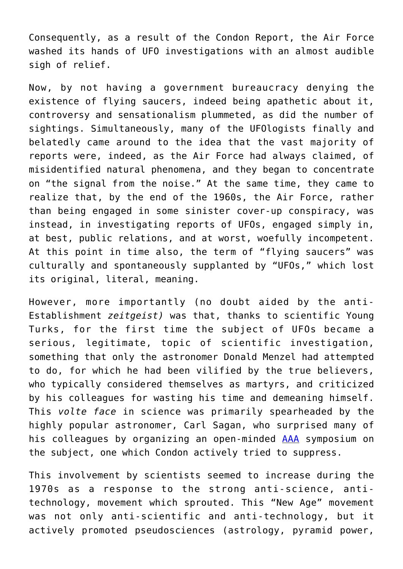Consequently, as a result of the Condon Report, the Air Force washed its hands of UFO investigations with an almost audible sigh of relief.

Now, by not having a government bureaucracy denying the existence of flying saucers, indeed being apathetic about it, controversy and sensationalism plummeted, as did the number of sightings. Simultaneously, many of the UFOlogists finally and belatedly came around to the idea that the vast majority of reports were, indeed, as the Air Force had always claimed, of misidentified natural phenomena, and they began to concentrate on "the signal from the noise." At the same time, they came to realize that, by the end of the 1960s, the Air Force, rather than being engaged in some sinister cover-up conspiracy, was instead, in investigating reports of UFOs, engaged simply in, at best, public relations, and at worst, woefully incompetent. At this point in time also, the term of "flying saucers" was culturally and spontaneously supplanted by "UFOs," which lost its original, literal, meaning.

However, more importantly (no doubt aided by the anti-Establishment *zeitgeist)* was that, thanks to scientific Young Turks, for the first time the subject of UFOs became a serious, legitimate, topic of scientific investigation, something that only the astronomer Donald Menzel had attempted to do, for which he had been vilified by the true believers, who typically considered themselves as martyrs, and criticized by his colleagues for wasting his time and demeaning himself. This *volte face* in science was primarily spearheaded by the highly popular astronomer, Carl Sagan, who surprised many of his colleagues by organizing an open-minded [AAA](https://www.amazon.com/UFOs-Scientific-Debate-Carl-Sagan/dp/0760701962/ref=sr_1_1?crid=3DS2MHVBG2E7L&keywords=sagan+and+page+and+ufos&qid=1652840435&s=books&sprefix=sagan+and+page+and+ufos%2Cstripbooks%2C108&sr=1-1) symposium on the subject, one which Condon actively tried to suppress.

This involvement by scientists seemed to increase during the 1970s as a response to the strong anti-science, antitechnology, movement which sprouted. This "New Age" movement was not only anti-scientific and anti-technology, but it actively promoted pseudosciences (astrology, pyramid power,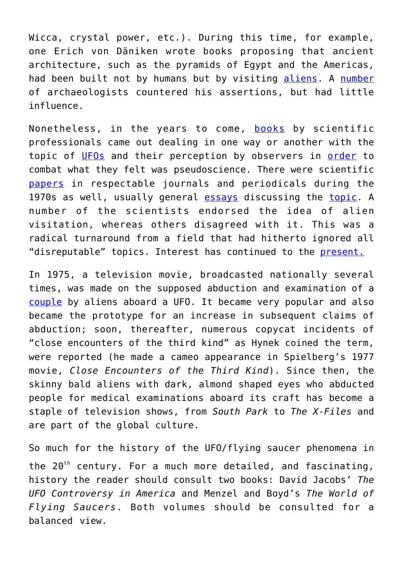Wicca, crystal power, etc.). During this time, for example, one Erich von Däniken wrote books proposing that ancient architecture, such as the pyramids of Egypt and the Americas, had been built not by humans but by visiting [aliens](https://www.amazon.com/Chariots-Gods-Erich-von-D%C3%A4niken/dp/0425166805/ref=sr_1_1?crid=1TM8SV24RM8W4&keywords=chariots+of+the+gods+book+erich+von+daniken&qid=1652840527&s=books&sprefix=chariots+of+the+gods%2Cstripbooks%2C297&sr=1-1). A [number](https://www.amazon.com/Crash-Go-Chariots-Clifford-Wilson/dp/B000OUK1P0/ref=sr_1_1?crid=PXEOR9SJIZT2&keywords=crash+go+the+chariots&qid=1652840594&s=books&sprefix=crash+%2Cstripbooks%2C118&sr=1-1) of archaeologists countered his assertions, but had little influence.

Nonetheless, in the years to come, [books](https://www.amazon.com/UFO-Abductions-Dangerous-Philip-Klass-ebook/dp/B003WT1HYY/ref=sr_1_1?crid=AMXG8F62RPG2&keywords=philip+klass&qid=1652840673&s=books&sprefix=phil%2Cstripbooks%2C109&sr=1-1) by scientific professionals came out dealing in one way or another with the topic of [UFOs](https://www.amazon.com/Phenomena-Behavioral-Scientist-Richard-Haines/dp/0810812282/ref=sr_1_1?crid=1CC6TG8SJJ19Q&keywords=Haines%2C+Richard.+UFO+Phenomena+and+the+Behavioral+Scientist.&qid=1652840777&s=books&sprefix=haines%2C+richard.+ufo+phenomena+and+the+behavioral+scientist.%2Cstripbooks%2C98&sr=1-1) and their perception by observers in [order](https://www.amazon.com/Ufos-Explained-Philip-J-Klass/dp/0394492153/ref=sr_1_1?crid=Z9O80LR1TI9C&keywords=ufos+explained&qid=1652840882&s=books&sprefix=ufos+explained%2Cstripbooks%2C95&sr=1-1) to combat what they felt was pseudoscience. There were scientific [papers](https://journals.sagepub.com/doi/abs/10.1177/030631277700700302?journalCode=sssb) in respectable journals and periodicals during the 1970s as well, usually general [essays](https://onlinelibrary.wiley.com/doi/abs/10.1111/j.0022-3840.1975.00871.x) discussing the [topic.](https://academic.oup.com/bioscience/article-abstract/25/8/505/326604) A number of the scientists endorsed the idea of alien visitation, whereas others disagreed with it. This was a radical turnaround from a field that had hitherto ignored all "disreputable" topics. Interest has continued to the [present.](https://www.amazon.com/UFO-Invasion-Incident-Abductions-Government/dp/1573921319/ref=sr_1_1?crid=1LSE8TNQQ3ET1&keywords=Frazier%2C+Kendrick%3B+Karr%2C+Barry+%26+Nickell%2C+Joe.+The+UFO+Invasion&qid=1652841239&s=books&sprefix=frazier%2C+kendrick+karr%2C+barry+%26+nickell%2C+joe.+the+ufo+invasion%2Cstripbooks%2C211&sr=1-1)

In 1975, a television movie, broadcasted nationally several times, was made on the supposed abduction and examination of a [couple](https://www.amazon.com/Interrupted-Journey-Revealed-Hypnosis-Kidnapping/dp/B0007DLAFE/ref=sr_1_2?crid=3K1ZZOR63LX4F&keywords=the+interrupted+journey&qid=1652841597&s=books&sprefix=the+interrupted+journey%2Cstripbooks%2C109&sr=1-2) by aliens aboard a UFO. It became very popular and also became the prototype for an increase in subsequent claims of abduction; soon, thereafter, numerous copycat incidents of "close encounters of the third kind" as Hynek coined the term, were reported (he made a cameo appearance in Spielberg's 1977 movie, *Close Encounters of the Third Kind*). Since then, the skinny bald aliens with dark, almond shaped eyes who abducted people for medical examinations aboard its craft has become a staple of television shows, from *South Park* to *The X-Files* and are part of the global culture.

So much for the history of the UFO/flying saucer phenomena in the  $20^{th}$  century. For a much more detailed, and fascinating, history the reader should consult two books: David Jacobs' *The UFO Controversy in America* and Menzel and Boyd's *The World of Flying Saucers*. Both volumes should be consulted for a balanced view.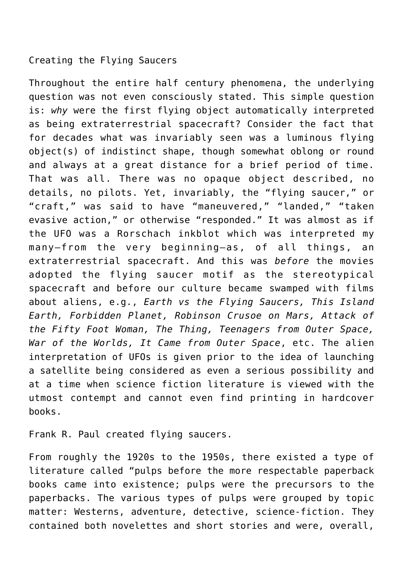## Creating the Flying Saucers

Throughout the entire half century phenomena, the underlying question was not even consciously stated. This simple question is: *why* were the first flying object automatically interpreted as being extraterrestrial spacecraft? Consider the fact that for decades what was invariably seen was a luminous flying object(s) of indistinct shape, though somewhat oblong or round and always at a great distance for a brief period of time. That was all. There was no opaque object described, no details, no pilots. Yet, invariably, the "flying saucer," or "craft," was said to have "maneuvered," "landed," "taken evasive action," or otherwise "responded." It was almost as if the UFO was a Rorschach inkblot which was interpreted my many—from the very beginning—as, of all things, an extraterrestrial spacecraft. And this was *before* the movies adopted the flying saucer motif as the stereotypical spacecraft and before our culture became swamped with films about aliens, e.g., *Earth vs the Flying Saucers, This Island Earth, Forbidden Planet, Robinson Crusoe on Mars, Attack of the Fifty Foot Woman, The Thing, Teenagers from Outer Space, War of the Worlds, It Came from Outer Space*, etc. The alien interpretation of UFOs is given prior to the idea of launching a satellite being considered as even a serious possibility and at a time when science fiction literature is viewed with the utmost contempt and cannot even find printing in hardcover books.

Frank R. Paul created flying saucers.

From roughly the 1920s to the 1950s, there existed a type of literature called "pulps before the more respectable paperback books came into existence; pulps were the precursors to the paperbacks. The various types of pulps were grouped by topic matter: Westerns, adventure, detective, science-fiction. They contained both novelettes and short stories and were, overall,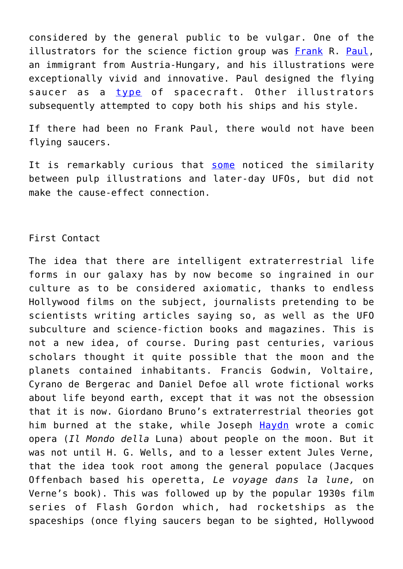considered by the general public to be vulgar. One of the illustrators for the science fiction group was [Frank](https://www.amazon.com/Fantastic-Science-Fiction-1926-1954-Science-Stories/dp/B002BGBQ3G/ref=sr_1_1?crid=1SSGV1OYJWOOA&keywords=Del+Rey%2C+Lester.+Fantastic+Science-Fiction+Art+1926-1954.&qid=1652841943&s=books&sprefix=del+rey%2C+lester.+fantastic+science-fiction+art+1926-1954.+%2Cstripbooks%2C100&sr=1-1) R. [Paul,](https://www.amazon.com/s?k=Korshak%2C+Stephen.+Frank+R.+Paul%3A+Father+of+Science+Fiction+Art&i=stripbooks&crid=1PMVIL4W1IUW&sprefix=korshak%2C+stephen.+frank+r.+paul+father+of+science+fiction+art%2Cstripbooks%2C113&ref=nb_sb_noss) an immigrant from Austria-Hungary, and his illustrations were exceptionally vivid and innovative. Paul designed the flying saucer as a [type](https://www.researchgate.net/publication/301567303_Pulp_Fiction_UFOs) of spacecraft. Other illustrators subsequently attempted to copy both his ships and his style.

If there had been no Frank Paul, there would not have been flying saucers.

It is remarkably curious that [some](https://www.amazon.com/Rare-WORLD-FLYING-SAUCERS-Menzel/dp/B09P6F5VP9/ref=sr_1_3?crid=28BMNMNQ893VU&keywords=the+world+of+flying+saucers+by+menzel&qid=1652842352&s=books&sprefix=the+world+of+flying+saucers+by+menzel%2Cstripbooks%2C88&sr=1-3) noticed the similarity between pulp illustrations and later-day UFOs, but did not make the cause-effect connection.

## First Contact

The idea that there are intelligent extraterrestrial life forms in our galaxy has by now become so ingrained in our culture as to be considered axiomatic, thanks to endless Hollywood films on the subject, journalists pretending to be scientists writing articles saying so, as well as the UFO subculture and science-fiction books and magazines. This is not a new idea, of course. During past centuries, various scholars thought it quite possible that the moon and the planets contained inhabitants. Francis Godwin, Voltaire, Cyrano de Bergerac and Daniel Defoe all wrote fictional works about life beyond earth, except that it was not the obsession that it is now. Giordano Bruno's extraterrestrial theories got him burned at the stake, while Joseph [Haydn](https://theimaginativeconservative.org/2020/05/il-mondo-della-luna-world-on-the-moon-joseph-haydn.html?utm_source=The+Imaginative+Conservative+Newsletter&utm_campaign=c763b9c14a-Weekly+Newsletter_COPY_01&utm_medium=email&utm_term=0_6c8d563f42-c763b9c14a-132547769&mc_cid=c763b9c14a&mc_eid=760a264705) wrote a comic opera (*Il Mondo della* Luna) about people on the moon. But it was not until H. G. Wells, and to a lesser extent Jules Verne, that the idea took root among the general populace (Jacques Offenbach based his operetta, *Le voyage dans la lune,* on Verne's book). This was followed up by the popular 1930s film series of Flash Gordon which, had rocketships as the spaceships (once flying saucers began to be sighted, Hollywood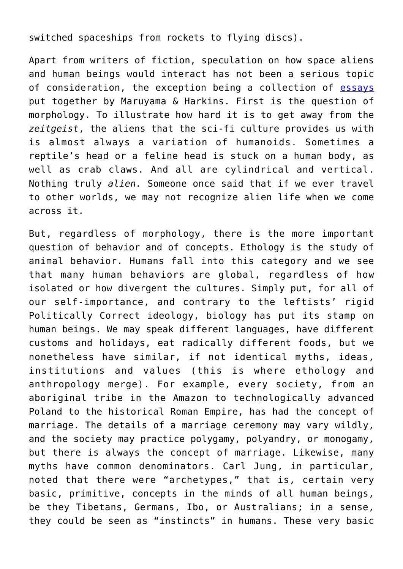switched spaceships from rockets to flying discs).

Apart from writers of fiction, speculation on how space aliens and human beings would interact has not been a serious topic of consideration, the exception being a collection of [essays](https://www.amazon.com/Cultures-beyond-earth-Magoroh-Maruyama/dp/0394716027/ref=sr_1_1?crid=2V4EBGT6XU38E&keywords=Cultures+Beyond+the+Earth+by+maruyama&qid=1652883102&sprefix=cultures+beyond+the+earth+by+maruyama%2Caps%2C81&sr=8-1) put together by Maruyama & Harkins. First is the question of morphology. To illustrate how hard it is to get away from the *zeitgeist*, the aliens that the sci-fi culture provides us with is almost always a variation of humanoids. Sometimes a reptile's head or a feline head is stuck on a human body, as well as crab claws. And all are cylindrical and vertical. Nothing truly *alien.* Someone once said that if we ever travel to other worlds, we may not recognize alien life when we come across it.

But, regardless of morphology, there is the more important question of behavior and of concepts. Ethology is the study of animal behavior. Humans fall into this category and we see that many human behaviors are global, regardless of how isolated or how divergent the cultures. Simply put, for all of our self-importance, and contrary to the leftists' rigid Politically Correct ideology, biology has put its stamp on human beings. We may speak different languages, have different customs and holidays, eat radically different foods, but we nonetheless have similar, if not identical myths, ideas, institutions and values (this is where ethology and anthropology merge). For example, every society, from an aboriginal tribe in the Amazon to technologically advanced Poland to the historical Roman Empire, has had the concept of marriage. The details of a marriage ceremony may vary wildly, and the society may practice polygamy, polyandry, or monogamy, but there is always the concept of marriage. Likewise, many myths have common denominators. Carl Jung, in particular, noted that there were "archetypes," that is, certain very basic, primitive, concepts in the minds of all human beings, be they Tibetans, Germans, Ibo, or Australians; in a sense, they could be seen as "instincts" in humans. These very basic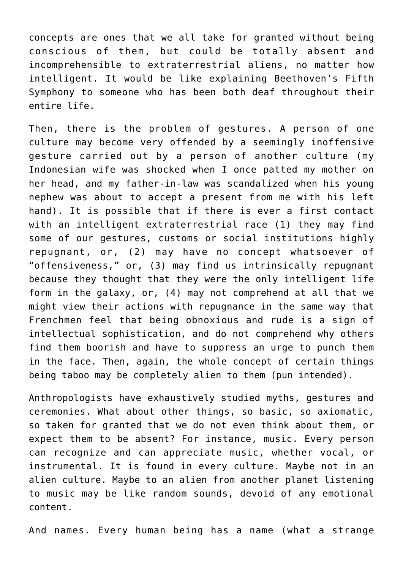concepts are ones that we all take for granted without being conscious of them, but could be totally absent and incomprehensible to extraterrestrial aliens, no matter how intelligent. It would be like explaining Beethoven's Fifth Symphony to someone who has been both deaf throughout their entire life.

Then, there is the problem of gestures. A person of one culture may become very offended by a seemingly inoffensive gesture carried out by a person of another culture (my Indonesian wife was shocked when I once patted my mother on her head, and my father-in-law was scandalized when his young nephew was about to accept a present from me with his left hand). It is possible that if there is ever a first contact with an intelligent extraterrestrial race (1) they may find some of our gestures, customs or social institutions highly repugnant, or, (2) may have no concept whatsoever of "offensiveness," or, (3) may find us intrinsically repugnant because they thought that they were the only intelligent life form in the galaxy, or, (4) may not comprehend at all that we might view their actions with repugnance in the same way that Frenchmen feel that being obnoxious and rude is a sign of intellectual sophistication, and do not comprehend why others find them boorish and have to suppress an urge to punch them in the face. Then, again, the whole concept of certain things being taboo may be completely alien to them (pun intended).

Anthropologists have exhaustively studied myths, gestures and ceremonies. What about other things, so basic, so axiomatic, so taken for granted that we do not even think about them, or expect them to be absent? For instance, music. Every person can recognize and can appreciate music, whether vocal, or instrumental. It is found in every culture. Maybe not in an alien culture. Maybe to an alien from another planet listening to music may be like random sounds, devoid of any emotional content.

And names. Every human being has a name (what a strange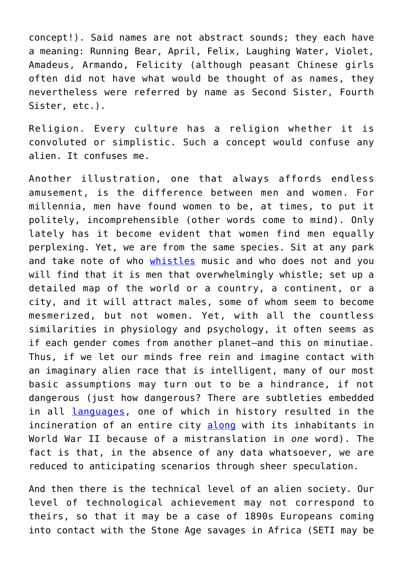concept!). Said names are not abstract sounds; they each have a meaning: Running Bear, April, Felix, Laughing Water, Violet, Amadeus, Armando, Felicity (although peasant Chinese girls often did not have what would be thought of as names, they nevertheless were referred by name as Second Sister, Fourth Sister, etc.).

Religion. Every culture has a religion whether it is convoluted or simplistic. Such a concept would confuse any alien. It confuses me.

Another illustration, one that always affords endless amusement, is the difference between men and women. For millennia, men have found women to be, at times, to put it politely, incomprehensible (other words come to mind). Only lately has it become evident that women find men equally perplexing. Yet, we are from the same species. Sit at any park and take note of who [whistles](https://www.researchgate.net/publication/263489049_Whistling_Yet_another_gender_difference) music and who does not and you will find that it is men that overwhelmingly whistle; set up a detailed map of the world or a country, a continent, or a city, and it will attract males, some of whom seem to become mesmerized, but not women. Yet, with all the countless similarities in physiology and psychology, it often seems as if each gender comes from another planet—and this on minutiae. Thus, if we let our minds free rein and imagine contact with an imaginary alien race that is intelligent, many of our most basic assumptions may turn out to be a hindrance, if not dangerous (just how dangerous? There are subtleties embedded in all [languages,](https://theimaginativeconservative.org/2020/12/social-political-significance-you-armando-simon.html) one of which in history resulted in the incineration of an entire city [along](https://www.nytimes.com/1989/08/21/opinion/l-good-translation-might-have-prevented-hiroshima-322089.html) with its inhabitants in World War II because of a mistranslation in *one* word). The fact is that, in the absence of any data whatsoever, we are reduced to anticipating scenarios through sheer speculation.

And then there is the technical level of an alien society. Our level of technological achievement may not correspond to theirs, so that it may be a case of 1890s Europeans coming into contact with the Stone Age savages in Africa (SETI may be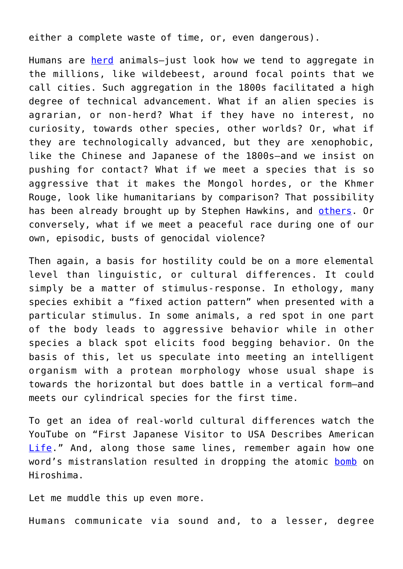either a complete waste of time, or, even dangerous).

Humans are [herd](https://www.newenglishreview.org/moo/) animals—just look how we tend to aggregate in the millions, like wildebeest, around focal points that we call cities. Such aggregation in the 1800s facilitated a high degree of technical advancement. What if an alien species is agrarian, or non-herd? What if they have no interest, no curiosity, towards other species, other worlds? Or, what if they are technologically advanced, but they are xenophobic, like the Chinese and Japanese of the 1800s—and we insist on pushing for contact? What if we meet a species that is so aggressive that it makes the Mongol hordes, or the Khmer Rouge, look like humanitarians by comparison? That possibility has been already brought up by Stephen Hawkins, and [others.](https://nautil.us/we-better-think-twice-about-what-we-say-to-et-16899/) Or conversely, what if we meet a peaceful race during one of our own, episodic, busts of genocidal violence?

Then again, a basis for hostility could be on a more elemental level than linguistic, or cultural differences. It could simply be a matter of stimulus-response. In ethology, many species exhibit a "fixed action pattern" when presented with a particular stimulus. In some animals, a red spot in one part of the body leads to aggressive behavior while in other species a black spot elicits food begging behavior. On the basis of this, let us speculate into meeting an intelligent organism with a protean morphology whose usual shape is towards the horizontal but does battle in a vertical form—and meets our cylindrical species for the first time.

To get an idea of real-world cultural differences watch the YouTube on "First Japanese Visitor to USA Describes American [Life.](https://www.youtube.com/watch?v=IvPxCuIspWs)" And, along those same lines, remember again how one word's mistranslation resulted in dropping the atomic [bomb](https://historycollection.com/10-major-historical-mistakes-changed-world-forever/8/) on Hiroshima.

Let me muddle this up even more.

Humans communicate via sound and, to a lesser, degree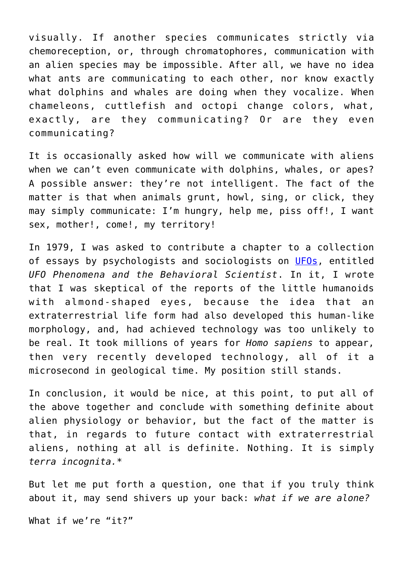visually. If another species communicates strictly via chemoreception, or, through chromatophores, communication with an alien species may be impossible. After all, we have no idea what ants are communicating to each other, nor know exactly what dolphins and whales are doing when they vocalize. When chameleons, cuttlefish and octopi change colors, what, exactly, are they communicating? Or are they even communicating?

It is occasionally asked how will we communicate with aliens when we can't even communicate with dolphins, whales, or apes? A possible answer: they're not intelligent. The fact of the matter is that when animals grunt, howl, sing, or click, they may simply communicate: I'm hungry, help me, piss off!, I want sex, mother!, come!, my territory!

In 1979, I was asked to contribute a chapter to a collection of essays by psychologists and sociologists on [UFOs](https://www.amazon.com/Phenomena-Behavioral-Scientist-Richard-Haines/dp/0810812282/ref=sr_1_1?crid=LWH1T8OQY1NT&keywords=UFO+Phenomena+and+the+Behavioral+Scientist.&qid=1652883841&sprefix=ufo+phenomena+and+the+behavioral+scientist.+%2Caps%2C188&sr=8-1#customerReviews), entitled *UFO Phenomena and the Behavioral Scientist*. In it, I wrote that I was skeptical of the reports of the little humanoids with almond-shaped eyes, because the idea that an extraterrestrial life form had also developed this human-like morphology, and, had achieved technology was too unlikely to be real. It took millions of years for *Homo sapiens* to appear, then very recently developed technology, all of it a microsecond in geological time. My position still stands.

In conclusion, it would be nice, at this point, to put all of the above together and conclude with something definite about alien physiology or behavior, but the fact of the matter is that, in regards to future contact with extraterrestrial aliens, nothing at all is definite. Nothing. It is simply *terra incognita.*\*

But let me put forth a question, one that if you truly think about it, may send shivers up your back: *what if we are alone?*

What if we're "it?"